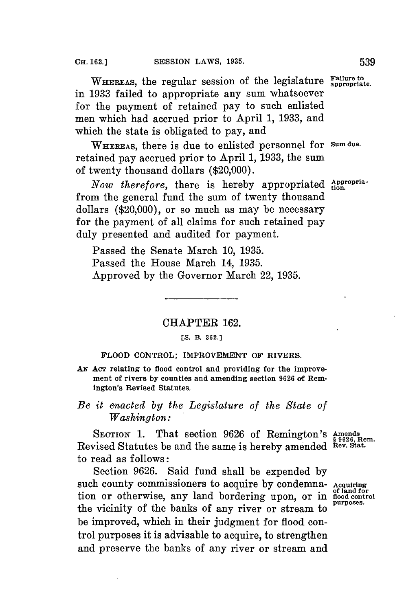WHEREAS, the regular session of the legislature **Failure to** appropriate. in **1933** failed to appropriate any sum whatsoever for the payment of retained pay to such enlisted men which had accrued prior to April **1, 1933,** and which the state is obligated to pay, and

**WHEREAS,** there is due to enlisted personnel for **Sum due.** retained pay accrued prior to April **1, 1933,** the sum of twenty thousand dollars (\$20,000).

*Now therefore,* there is hereby appropriated *Appropria*from the general fund the sum of twenty thousand dollars (\$20,000), or so much as may be necessary for the payment of all claims for such retained pay duly presented and audited for payment.

Passed the Senate March **10, 1935.** Passed the House March 14, **1935.** Approved **by** the Governor March 22, **1935.**

## CHAPTER **162.**

#### **[S. B. 362.]**

### **FLOOD CONTROL; IMPROVEMENT OF RIVERS.**

AN Acr relating to flood control and providing for the improve**ment of rivers by counties and amending section 9626 of Remington's Revised Statutes.**

## *Be it enacted by the Legislature of the State of Washington:*

**SECTION 1.** That section **9626** of Remington's Amends **EXECTION 1:** That Section 5026 Of Remarks on 8  $\frac{1}{2}$   $\frac{1}{2}$   $\frac{1}{6}$  Rew. Stat. to read as follows:

Section **9626.** Said fund shall be expended **by** such county commissioners to acquire **by** condemna- **Acquiring** tion or otherwise, any land bordering upon, or in flood control the vicinity of the banks of any river or stream to be improved, which in their judgment for flood control purposes it is advisable to acquire, to strengthen and preserve the banks of any river or stream and